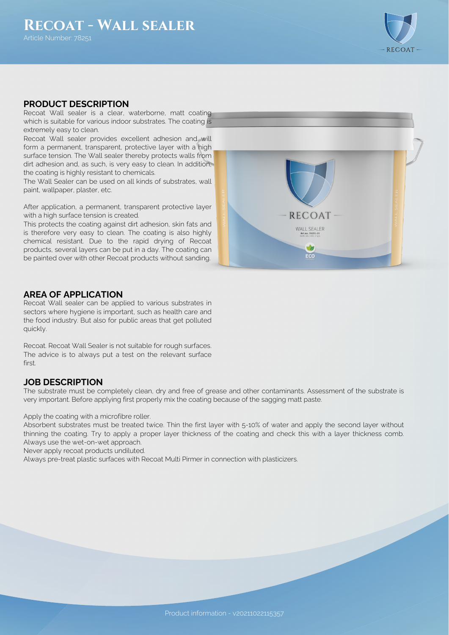

## **PRODUCT DESCRIPTION**

Recoat Wall sealer is a clear, waterborne, matt coating which is suitable for various indoor substrates. The coating is extremely easy to clean.

Recoat Wall sealer provides excellent adhesion and will form a permanent, transparent, protective layer with a high surface tension. The Wall sealer thereby protects walls from dirt adhesion and, as such, is very easy to clean. In addition, the coating is highly resistant to chemicals.

The Wall Sealer can be used on all kinds of substrates, wall paint, wallpaper, plaster, etc.

After application, a permanent, transparent protective layer with a high surface tension is created.

This protects the coating against dirt adhesion, skin fats and is therefore very easy to clean. The coating is also highly chemical resistant. Due to the rapid drying of Recoat products, several layers can be put in a day. The coating can be painted over with other Recoat products without sanding.



### **AREA OF APPLICATION**

Recoat Wall sealer can be applied to various substrates in sectors where hygiene is important, such as health care and the food industry. But also for public areas that get polluted quickly.

Recoat. Recoat Wall Sealer is not suitable for rough surfaces. The advice is to always put a test on the relevant surface firct.

### **JOB DESCRIPTION**

The substrate must be completely clean, dry and free of grease and other contaminants. Assessment of the substrate is very important. Before applying first properly mix the coating because of the sagging matt paste.

Apply the coating with a microfibre roller.

Absorbent substrates must be treated twice. Thin the first layer with 5-10% of water and apply the second layer without thinning the coating. Try to apply a proper layer thickness of the coating and check this with a layer thickness comb. Always use the wet-on-wet approach.

Never apply recoat products undiluted.

Always pre-treat plastic surfaces with Recoat Multi Pirmer in connection with plasticizers.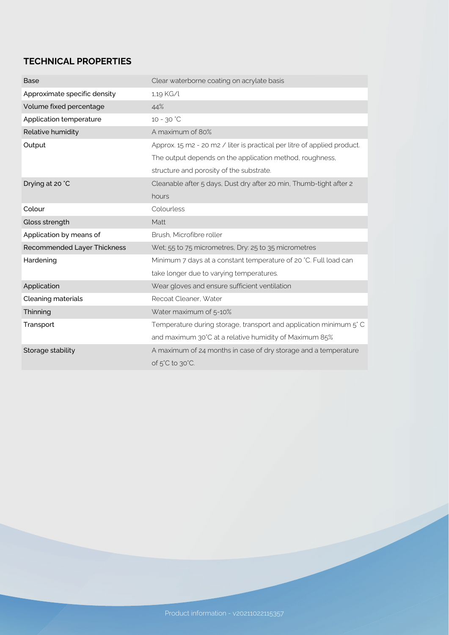# **TECHNICAL PROPERTIES**

| <b>Base</b>                  | Clear waterborne coating on acrylate basis                               |
|------------------------------|--------------------------------------------------------------------------|
| Approximate specific density | 1,19 KG/l                                                                |
| Volume fixed percentage      | 44%                                                                      |
| Application temperature      | 10 - 30 °C                                                               |
| Relative humidity            | A maximum of 80%                                                         |
| Output                       | Approx. 15 m2 - 20 m2 / liter is practical per litre of applied product. |
|                              | The output depends on the application method, roughness,                 |
|                              | structure and porosity of the substrate.                                 |
| Drying at 20 °C              | Cleanable after 5 days, Dust dry after 20 min, Thumb-tight after 2       |
|                              | hours                                                                    |
| Colour                       | Colourless                                                               |
| Gloss strength               | Matt                                                                     |
| Application by means of      | Brush, Microfibre roller                                                 |
| Recommended Layer Thickness  | Wet; 55 to 75 micrometres, Dry: 25 to 35 micrometres                     |
| Hardening                    | Minimum 7 days at a constant temperature of 20 °C. Full load can         |
|                              | take longer due to varying temperatures.                                 |
| Application                  | Wear gloves and ensure sufficient ventilation                            |
| Cleaning materials           | Recoat Cleaner, Water                                                    |
| Thinning                     | Water maximum of 5-10%                                                   |
| Transport                    | Temperature during storage, transport and application minimum 5°C        |
|                              | and maximum 30°C at a relative humidity of Maximum 85%                   |
| Storage stability            | A maximum of 24 months in case of dry storage and a temperature          |
|                              | of 5°C to 30°C.                                                          |